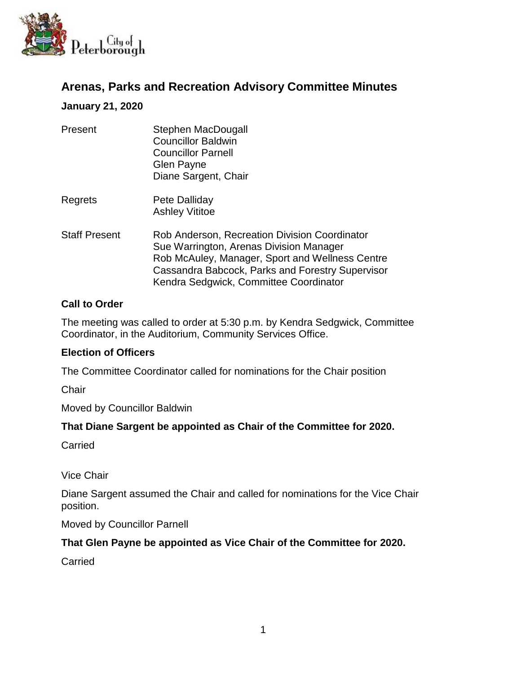

# **Arenas, Parks and Recreation Advisory Committee Minutes**

### **January 21, 2020**

| Present              | Stephen MacDougall<br><b>Councillor Baldwin</b><br><b>Councillor Parnell</b><br>Glen Payne<br>Diane Sargent, Chair                                                                                                                        |
|----------------------|-------------------------------------------------------------------------------------------------------------------------------------------------------------------------------------------------------------------------------------------|
| Regrets              | Pete Dalliday<br><b>Ashley Vititoe</b>                                                                                                                                                                                                    |
| <b>Staff Present</b> | Rob Anderson, Recreation Division Coordinator<br>Sue Warrington, Arenas Division Manager<br>Rob McAuley, Manager, Sport and Wellness Centre<br>Cassandra Babcock, Parks and Forestry Supervisor<br>Kendra Sedgwick, Committee Coordinator |

### **Call to Order**

The meeting was called to order at 5:30 p.m. by Kendra Sedgwick, Committee Coordinator, in the Auditorium, Community Services Office.

### **Election of Officers**

The Committee Coordinator called for nominations for the Chair position

**Chair** 

Moved by Councillor Baldwin

### **That Diane Sargent be appointed as Chair of the Committee for 2020.**

Carried

Vice Chair

Diane Sargent assumed the Chair and called for nominations for the Vice Chair position.

Moved by Councillor Parnell

### **That Glen Payne be appointed as Vice Chair of the Committee for 2020.**

**Carried**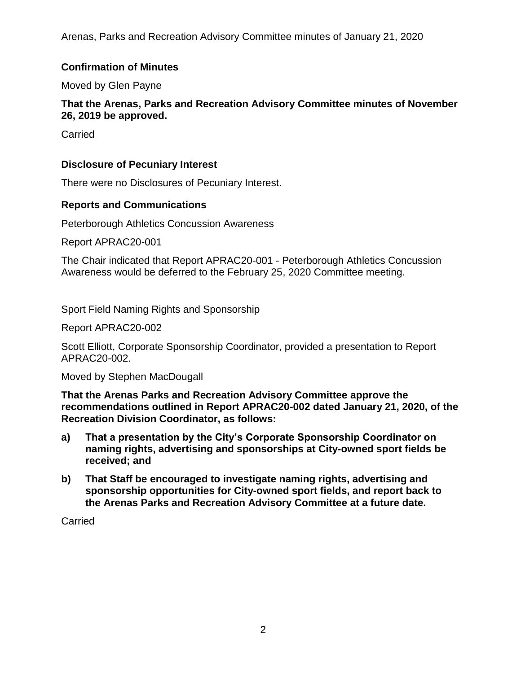Arenas, Parks and Recreation Advisory Committee minutes of January 21, 2020

## **Confirmation of Minutes**

Moved by Glen Payne

### **That the Arenas, Parks and Recreation Advisory Committee minutes of November 26, 2019 be approved.**

**Carried** 

### **Disclosure of Pecuniary Interest**

There were no Disclosures of Pecuniary Interest.

### **Reports and Communications**

Peterborough Athletics Concussion Awareness

Report APRAC20-001

The Chair indicated that Report APRAC20-001 - Peterborough Athletics Concussion Awareness would be deferred to the February 25, 2020 Committee meeting.

Sport Field Naming Rights and Sponsorship

Report APRAC20-002

Scott Elliott, Corporate Sponsorship Coordinator, provided a presentation to Report APRAC20-002.

Moved by Stephen MacDougall

**That the Arenas Parks and Recreation Advisory Committee approve the recommendations outlined in Report APRAC20-002 dated January 21, 2020, of the Recreation Division Coordinator, as follows:**

- **a) That a presentation by the City's Corporate Sponsorship Coordinator on naming rights, advertising and sponsorships at City-owned sport fields be received; and**
- **b) That Staff be encouraged to investigate naming rights, advertising and sponsorship opportunities for City-owned sport fields, and report back to the Arenas Parks and Recreation Advisory Committee at a future date.**

**Carried**